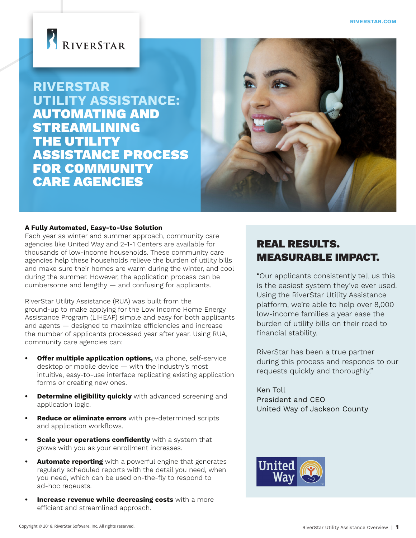

**RIVERSTAR UTILITY ASSISTANCE:** AUTOMATING AND STREAMLINING THE UTILITY ASSISTANCE PROCESS FOR COMMUNITY CARE AGENCIES



#### **A Fully Automated, Easy-to-Use Solution**

Each year as winter and summer approach, community care agencies like United Way and 2-1-1 Centers are available for thousands of low-income households. These community care agencies help these households relieve the burden of utility bills and make sure their homes are warm during the winter, and cool during the summer. However, the application process can be cumbersome and lengthy — and confusing for applicants.

RiverStar Utility Assistance (RUA) was built from the ground-up to make applying for the Low Income Home Energy Assistance Program (LIHEAP) simple and easy for both applicants and agents — designed to maximize efficiencies and increase the number of applicants processed year after year. Using RUA, community care agencies can:

- **Offer multiple application options,** via phone, self-service desktop or mobile device — with the industry's most intuitive, easy-to-use interface replicating existing application forms or creating new ones.
- **• Determine eligibility quickly** with advanced screening and application logic.
- **• Reduce or eliminate errors** with pre-determined scripts and application workflows.
- **• Scale your operations confidently** with a system that grows with you as your enrollment increases.
- **• Automate reporting** with a powerful engine that generates regularly scheduled reports with the detail you need, when you need, which can be used on-the-fly to respond to ad-hoc reqeusts.
- **Increase revenue while decreasing costs** with a more efficient and streamlined approach.

## REAL RESULTS. MEASURABLE IMPACT.

"Our applicants consistently tell us this is the easiest system they've ever used. Using the RiverStar Utility Assistance platform, we're able to help over 8,000 low-income families a year ease the burden of utility bills on their road to financial stability.

RiverStar has been a true partner during this process and responds to our requests quickly and thoroughly."

Ken Toll President and CEO United Way of Jackson County